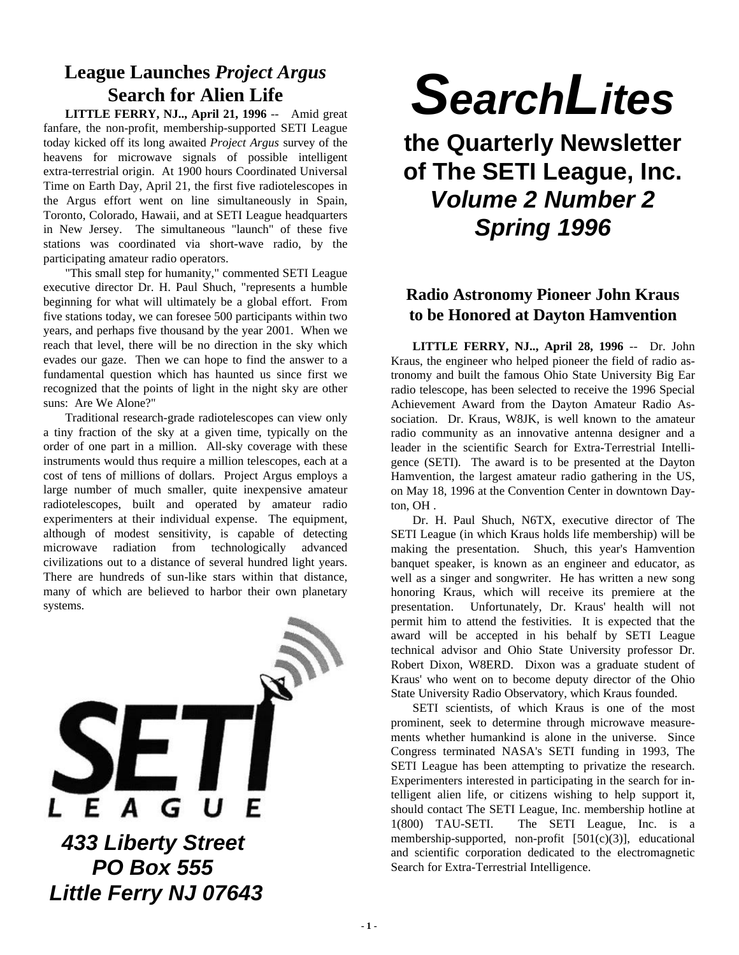## **League Launches** *Project Argus* **Search for Alien Life**

**LITTLE FERRY, NJ.., April 21, 1996** -- Amid great fanfare, the non-profit, membership-supported SETI League today kicked off its long awaited *Project Argus* survey of the heavens for microwave signals of possible intelligent extra-terrestrial origin. At 1900 hours Coordinated Universal Time on Earth Day, April 21, the first five radiotelescopes in the Argus effort went on line simultaneously in Spain, Toronto, Colorado, Hawaii, and at SETI League headquarters in New Jersey. The simultaneous "launch" of these five stations was coordinated via short-wave radio, by the participating amateur radio operators.

"This small step for humanity," commented SETI League executive director Dr. H. Paul Shuch, "represents a humble beginning for what will ultimately be a global effort. From five stations today, we can foresee 500 participants within two years, and perhaps five thousand by the year 2001. When we reach that level, there will be no direction in the sky which evades our gaze. Then we can hope to find the answer to a fundamental question which has haunted us since first we recognized that the points of light in the night sky are other suns: Are We Alone?"

Traditional research-grade radiotelescopes can view only a tiny fraction of the sky at a given time, typically on the order of one part in a million. All-sky coverage with these instruments would thus require a million telescopes, each at a cost of tens of millions of dollars. Project Argus employs a large number of much smaller, quite inexpensive amateur radiotelescopes, built and operated by amateur radio experimenters at their individual expense. The equipment, although of modest sensitivity, is capable of detecting microwave radiation from technologically advanced civilizations out to a distance of several hundred light years. There are hundreds of sun-like stars within that distance, many of which are believed to harbor their own planetary systems.



# *SearchLites*

**the Quarterly Newsletter of The SETI League, Inc.** *Volume 2 Number 2 Spring 1996*

## **Radio Astronomy Pioneer John Kraus to be Honored at Dayton Hamvention**

**LITTLE FERRY, NJ.., April 28, 1996** -- Dr. John Kraus, the engineer who helped pioneer the field of radio astronomy and built the famous Ohio State University Big Ear radio telescope, has been selected to receive the 1996 Special Achievement Award from the Dayton Amateur Radio Association. Dr. Kraus, W8JK, is well known to the amateur radio community as an innovative antenna designer and a leader in the scientific Search for Extra-Terrestrial Intelligence (SETI). The award is to be presented at the Dayton Hamvention, the largest amateur radio gathering in the US, on May 18, 1996 at the Convention Center in downtown Dayton, OH .

Dr. H. Paul Shuch, N6TX, executive director of The SETI League (in which Kraus holds life membership) will be making the presentation. Shuch, this year's Hamvention banquet speaker, is known as an engineer and educator, as well as a singer and songwriter. He has written a new song honoring Kraus, which will receive its premiere at the presentation. Unfortunately, Dr. Kraus' health will not permit him to attend the festivities. It is expected that the award will be accepted in his behalf by SETI League technical advisor and Ohio State University professor Dr. Robert Dixon, W8ERD. Dixon was a graduate student of Kraus' who went on to become deputy director of the Ohio State University Radio Observatory, which Kraus founded.

SETI scientists, of which Kraus is one of the most prominent, seek to determine through microwave measurements whether humankind is alone in the universe. Since Congress terminated NASA's SETI funding in 1993, The SETI League has been attempting to privatize the research. Experimenters interested in participating in the search for intelligent alien life, or citizens wishing to help support it, should contact The SETI League, Inc. membership hotline at 1(800) TAU-SETI. The SETI League, Inc. is a membership-supported, non-profit [501(c)(3)], educational and scientific corporation dedicated to the electromagnetic Search for Extra-Terrestrial Intelligence.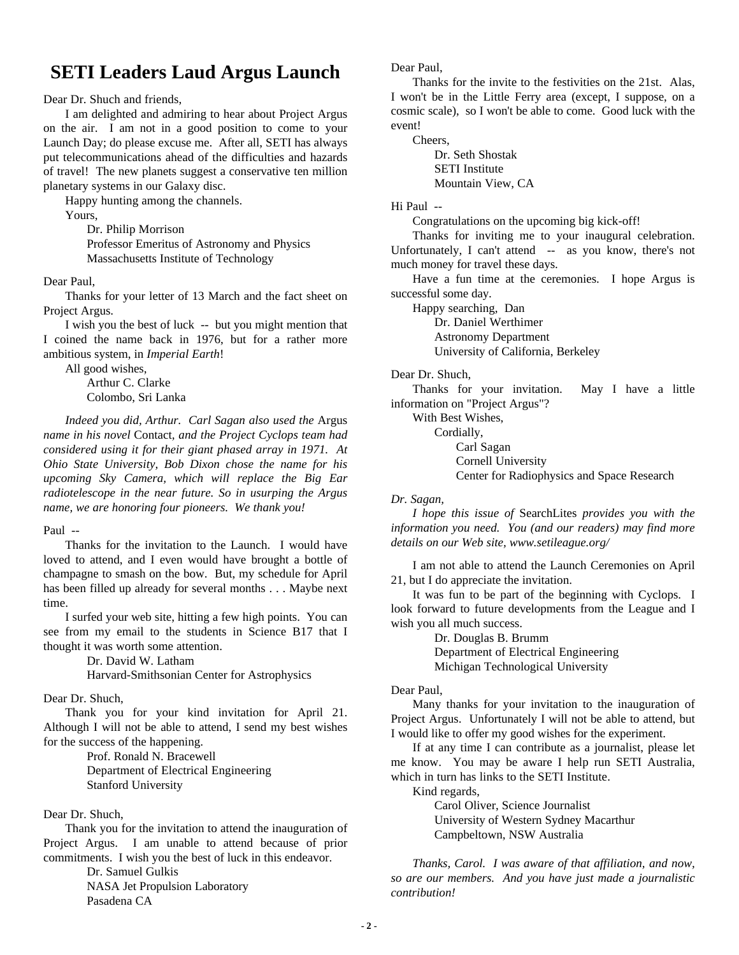## **SETI Leaders Laud Argus Launch**

Dear Dr. Shuch and friends,

I am delighted and admiring to hear about Project Argus on the air. I am not in a good position to come to your Launch Day; do please excuse me. After all, SETI has always put telecommunications ahead of the difficulties and hazards of travel! The new planets suggest a conservative ten million planetary systems in our Galaxy disc.

Happy hunting among the channels.

Yours,

Dr. Philip Morrison Professor Emeritus of Astronomy and Physics Massachusetts Institute of Technology

Dear Paul,

Thanks for your letter of 13 March and the fact sheet on Project Argus.

I wish you the best of luck -- but you might mention that I coined the name back in 1976, but for a rather more ambitious system, in *Imperial Earth*!

All good wishes,

Arthur C. Clarke Colombo, Sri Lanka

*Indeed you did, Arthur. Carl Sagan also used the* Argus *name in his novel* Contact*, and the Project Cyclops team had considered using it for their giant phased array in 1971. At Ohio State University, Bob Dixon chose the name for his upcoming Sky Camera, which will replace the Big Ear radiotelescope in the near future. So in usurping the Argus name, we are honoring four pioneers. We thank you!*

#### Paul --

Thanks for the invitation to the Launch. I would have loved to attend, and I even would have brought a bottle of champagne to smash on the bow. But, my schedule for April has been filled up already for several months . . . Maybe next time.

I surfed your web site, hitting a few high points. You can see from my email to the students in Science B17 that I thought it was worth some attention.

> Dr. David W. Latham Harvard-Smithsonian Center for Astrophysics

Dear Dr. Shuch,

Thank you for your kind invitation for April 21. Although I will not be able to attend, I send my best wishes for the success of the happening.

Prof. Ronald N. Bracewell Department of Electrical Engineering Stanford University

#### Dear Dr. Shuch,

Thank you for the invitation to attend the inauguration of Project Argus. I am unable to attend because of prior commitments. I wish you the best of luck in this endeavor.

> Dr. Samuel Gulkis NASA Jet Propulsion Laboratory Pasadena CA

Dear Paul,

Thanks for the invite to the festivities on the 21st. Alas, I won't be in the Little Ferry area (except, I suppose, on a cosmic scale), so I won't be able to come. Good luck with the event!

Cheers,

Dr. Seth Shostak SETI Institute Mountain View, CA

Hi Paul --

Congratulations on the upcoming big kick-off!

Thanks for inviting me to your inaugural celebration. Unfortunately, I can't attend -- as you know, there's not much money for travel these days.

Have a fun time at the ceremonies. I hope Argus is successful some day.

Happy searching, Dan

Dr. Daniel Werthimer

Astronomy Department University of California, Berkeley

Dear Dr. Shuch,

Thanks for your invitation. May I have a little information on "Project Argus"?

With Best Wishes, Cordially, Carl Sagan Cornell University

Center for Radiophysics and Space Research

#### *Dr. Sagan,*

*I hope this issue of* SearchLites *provides you with the information you need. You (and our readers) may find more details on our Web site, www.setileague.org/*

I am not able to attend the Launch Ceremonies on April 21, but I do appreciate the invitation.

It was fun to be part of the beginning with Cyclops. I look forward to future developments from the League and I wish you all much success.

> Dr. Douglas B. Brumm Department of Electrical Engineering Michigan Technological University

#### Dear Paul,

Many thanks for your invitation to the inauguration of Project Argus. Unfortunately I will not be able to attend, but I would like to offer my good wishes for the experiment.

If at any time I can contribute as a journalist, please let me know. You may be aware I help run SETI Australia, which in turn has links to the SETI Institute.

Kind regards,

Carol Oliver, Science Journalist University of Western Sydney Macarthur Campbeltown, NSW Australia

*Thanks, Carol. I was aware of that affiliation, and now, so are our members. And you have just made a journalistic contribution!*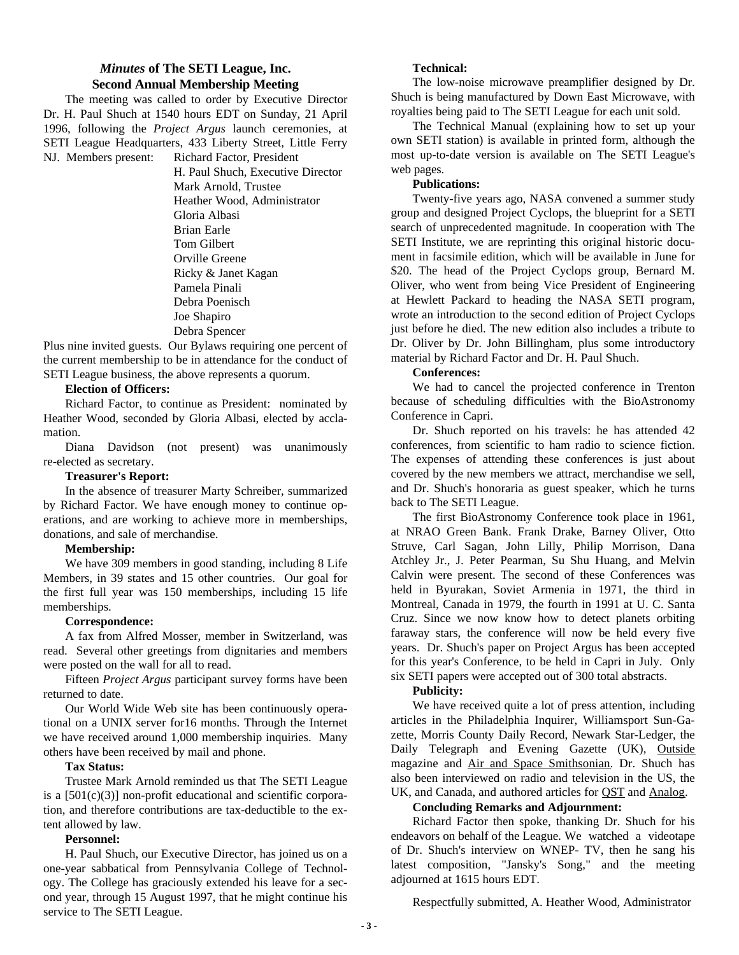#### *Minutes* **of The SETI League, Inc. Second Annual Membership Meeting**

The meeting was called to order by Executive Director Dr. H. Paul Shuch at 1540 hours EDT on Sunday, 21 April 1996, following the *Project Argus* launch ceremonies, at SETI League Headquarters, 433 Liberty Street, Little Ferry NJ. Members present: Richard Factor, President

> H. Paul Shuch, Executive Director Mark Arnold, Trustee Heather Wood, Administrator Gloria Albasi Brian Earle Tom Gilbert Orville Greene Ricky & Janet Kagan Pamela Pinali Debra Poenisch Joe Shapiro Debra Spencer

Plus nine invited guests. Our Bylaws requiring one percent of the current membership to be in attendance for the conduct of SETI League business, the above represents a quorum.

#### **Election of Officers:**

Richard Factor, to continue as President: nominated by Heather Wood, seconded by Gloria Albasi, elected by acclamation.

Diana Davidson (not present) was unanimously re-elected as secretary.

#### **Treasurer's Report:**

In the absence of treasurer Marty Schreiber, summarized by Richard Factor. We have enough money to continue operations, and are working to achieve more in memberships, donations, and sale of merchandise.

#### **Membership:**

We have 309 members in good standing, including 8 Life Members, in 39 states and 15 other countries. Our goal for the first full year was 150 memberships, including 15 life memberships.

#### **Correspondence:**

A fax from Alfred Mosser, member in Switzerland, was read. Several other greetings from dignitaries and members were posted on the wall for all to read.

Fifteen *Project Argus* participant survey forms have been returned to date.

Our World Wide Web site has been continuously operational on a UNIX server for16 months. Through the Internet we have received around 1,000 membership inquiries. Many others have been received by mail and phone.

#### **Tax Status:**

Trustee Mark Arnold reminded us that The SETI League is a  $[501(c)(3)]$  non-profit educational and scientific corporation, and therefore contributions are tax-deductible to the extent allowed by law.

#### **Personnel:**

H. Paul Shuch, our Executive Director, has joined us on a one-year sabbatical from Pennsylvania College of Technology. The College has graciously extended his leave for a second year, through 15 August 1997, that he might continue his service to The SETI League.

#### **Technical:**

The low-noise microwave preamplifier designed by Dr. Shuch is being manufactured by Down East Microwave, with royalties being paid to The SETI League for each unit sold.

The Technical Manual (explaining how to set up your own SETI station) is available in printed form, although the most up-to-date version is available on The SETI League's web pages.

#### **Publications:**

Twenty-five years ago, NASA convened a summer study group and designed Project Cyclops, the blueprint for a SETI search of unprecedented magnitude. In cooperation with The SETI Institute, we are reprinting this original historic document in facsimile edition, which will be available in June for \$20. The head of the Project Cyclops group, Bernard M. Oliver, who went from being Vice President of Engineering at Hewlett Packard to heading the NASA SETI program, wrote an introduction to the second edition of Project Cyclops just before he died. The new edition also includes a tribute to Dr. Oliver by Dr. John Billingham, plus some introductory material by Richard Factor and Dr. H. Paul Shuch.

#### **Conferences:**

We had to cancel the projected conference in Trenton because of scheduling difficulties with the BioAstronomy Conference in Capri.

Dr. Shuch reported on his travels: he has attended 42 conferences, from scientific to ham radio to science fiction. The expenses of attending these conferences is just about covered by the new members we attract, merchandise we sell, and Dr. Shuch's honoraria as guest speaker, which he turns back to The SETI League.

The first BioAstronomy Conference took place in 1961, at NRAO Green Bank. Frank Drake, Barney Oliver, Otto Struve, Carl Sagan, John Lilly, Philip Morrison, Dana Atchley Jr., J. Peter Pearman, Su Shu Huang, and Melvin Calvin were present. The second of these Conferences was held in Byurakan, Soviet Armenia in 1971, the third in Montreal, Canada in 1979, the fourth in 1991 at U. C. Santa Cruz. Since we now know how to detect planets orbiting faraway stars, the conference will now be held every five years. Dr. Shuch's paper on Project Argus has been accepted for this year's Conference, to be held in Capri in July. Only six SETI papers were accepted out of 300 total abstracts.

#### **Publicity:**

We have received quite a lot of press attention, including articles in the Philadelphia Inquirer, Williamsport Sun-Gazette, Morris County Daily Record, Newark Star-Ledger, the Daily Telegraph and Evening Gazette (UK), Outside magazine and Air and Space Smithsonian. Dr. Shuch has also been interviewed on radio and television in the US, the UK, and Canada, and authored articles for **OST** and **Analog**.

#### **Concluding Remarks and Adjournment:**

Richard Factor then spoke, thanking Dr. Shuch for his endeavors on behalf of the League. We watched a videotape of Dr. Shuch's interview on WNEP- TV, then he sang his latest composition, "Jansky's Song," and the meeting adjourned at 1615 hours EDT.

Respectfully submitted, A. Heather Wood, Administrator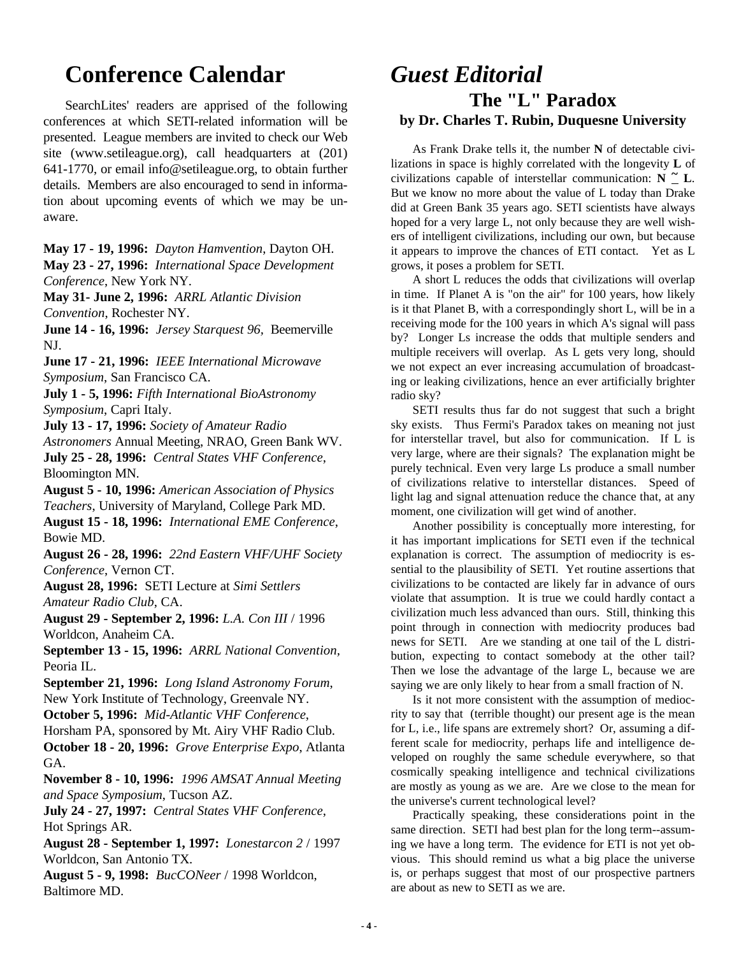## **Conference Calendar**

SearchLites' readers are apprised of the following conferences at which SETI-related information will be presented. League members are invited to check our Web site (www.setileague.org), call headquarters at (201) 641-1770, or email info@setileague.org, to obtain further details. Members are also encouraged to send in information about upcoming events of which we may be unaware.

**May 17 - 19, 1996:** *Dayton Hamvention*, Dayton OH.

**May 23 - 27, 1996:** *International Space Development Conference*, New York NY.

**May 31- June 2, 1996:** *ARRL Atlantic Division Convention*, Rochester NY.

**June 14 - 16, 1996:** *Jersey Starquest 96,* Beemerville NJ.

**June 17 - 21, 1996:** *IEEE International Microwave Symposium*, San Francisco CA.

**July 1 - 5, 1996:** *Fifth International BioAstronomy Symposium*, Capri Italy.

**July 13 - 17, 1996:** *Society of Amateur Radio*

*Astronomers* Annual Meeting, NRAO, Green Bank WV. **July 25 - 28, 1996:** *Central States VHF Conference*, Bloomington MN.

**August 5 - 10, 1996:** *American Association of Physics Teachers*, University of Maryland, College Park MD.

**August 15 - 18, 1996:** *International EME Conference*, Bowie MD.

**August 26 - 28, 1996:** *22nd Eastern VHF/UHF Society Conference*, Vernon CT.

**August 28, 1996:** SETI Lecture at *Simi Settlers Amateur Radio Club*, CA.

**August 29 - September 2, 1996:** *L.A. Con III* / 1996 Worldcon, Anaheim CA.

**September 13 - 15, 1996:** *ARRL National Convention,* Peoria IL.

**September 21, 1996:** *Long Island Astronomy Forum*, New York Institute of Technology, Greenvale NY.

**October 5, 1996:** *Mid-Atlantic VHF Conference*,

Horsham PA, sponsored by Mt. Airy VHF Radio Club.

**October 18 - 20, 1996:** *Grove Enterprise Expo*, Atlanta GA.

**November 8 - 10, 1996:** *1996 AMSAT Annual Meeting and Space Symposium*, Tucson AZ.

**July 24 - 27, 1997:** *Central States VHF Conference*, Hot Springs AR.

**August 28 - September 1, 1997:** *Lonestarcon 2* / 1997 Worldcon, San Antonio TX.

**August 5 - 9, 1998:** *BucCONeer* / 1998 Worldcon, Baltimore MD.

## *Guest Editorial* **The "L" Paradox by Dr. Charles T. Rubin, Duquesne University**

As Frank Drake tells it, the number **N** of detectable civilizations in space is highly correlated with the longevity **L** of civilizations capable of interstellar communication:  $\mathbf{N} \cong \mathbf{L}$ . But we know no more about the value of L today than Drake did at Green Bank 35 years ago. SETI scientists have always hoped for a very large L, not only because they are well wishers of intelligent civilizations, including our own, but because it appears to improve the chances of ETI contact. Yet as L grows, it poses a problem for SETI.

A short L reduces the odds that civilizations will overlap in time. If Planet A is "on the air" for 100 years, how likely is it that Planet B, with a correspondingly short L, will be in a receiving mode for the 100 years in which A's signal will pass by? Longer Ls increase the odds that multiple senders and multiple receivers will overlap. As L gets very long, should we not expect an ever increasing accumulation of broadcasting or leaking civilizations, hence an ever artificially brighter radio sky?

SETI results thus far do not suggest that such a bright sky exists. Thus Fermi's Paradox takes on meaning not just for interstellar travel, but also for communication. If L is very large, where are their signals? The explanation might be purely technical. Even very large Ls produce a small number of civilizations relative to interstellar distances. Speed of light lag and signal attenuation reduce the chance that, at any moment, one civilization will get wind of another.

Another possibility is conceptually more interesting, for it has important implications for SETI even if the technical explanation is correct. The assumption of mediocrity is essential to the plausibility of SETI. Yet routine assertions that civilizations to be contacted are likely far in advance of ours violate that assumption. It is true we could hardly contact a civilization much less advanced than ours. Still, thinking this point through in connection with mediocrity produces bad news for SETI. Are we standing at one tail of the L distribution, expecting to contact somebody at the other tail? Then we lose the advantage of the large L, because we are saying we are only likely to hear from a small fraction of N.

Is it not more consistent with the assumption of mediocrity to say that (terrible thought) our present age is the mean for L, i.e., life spans are extremely short? Or, assuming a different scale for mediocrity, perhaps life and intelligence developed on roughly the same schedule everywhere, so that cosmically speaking intelligence and technical civilizations are mostly as young as we are. Are we close to the mean for the universe's current technological level?

Practically speaking, these considerations point in the same direction. SETI had best plan for the long term--assuming we have a long term. The evidence for ETI is not yet obvious. This should remind us what a big place the universe is, or perhaps suggest that most of our prospective partners are about as new to SETI as we are.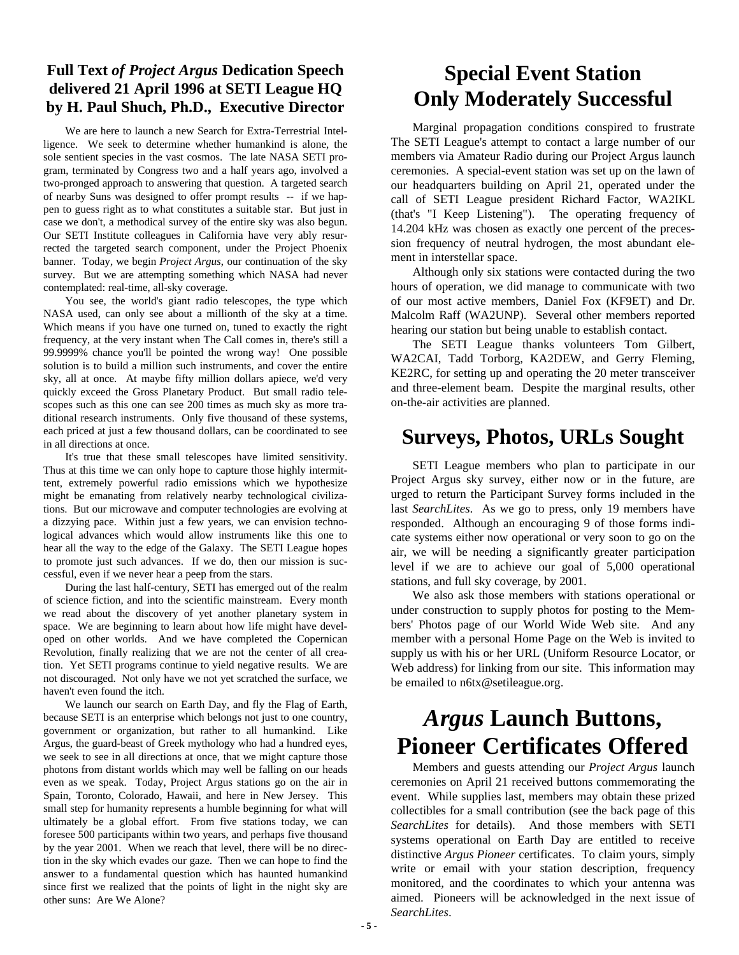### **Full Text** *of Project Argus* **Dedication Speech delivered 21 April 1996 at SETI League HQ by H. Paul Shuch, Ph.D., Executive Director**

We are here to launch a new Search for Extra-Terrestrial Intelligence. We seek to determine whether humankind is alone, the sole sentient species in the vast cosmos. The late NASA SETI program, terminated by Congress two and a half years ago, involved a two-pronged approach to answering that question. A targeted search of nearby Suns was designed to offer prompt results -- if we happen to guess right as to what constitutes a suitable star. But just in case we don't, a methodical survey of the entire sky was also begun. Our SETI Institute colleagues in California have very ably resurrected the targeted search component, under the Project Phoenix banner. Today, we begin *Project Argus*, our continuation of the sky survey. But we are attempting something which NASA had never contemplated: real-time, all-sky coverage.

You see, the world's giant radio telescopes, the type which NASA used, can only see about a millionth of the sky at a time. Which means if you have one turned on, tuned to exactly the right frequency, at the very instant when The Call comes in, there's still a 99.9999% chance you'll be pointed the wrong way! One possible solution is to build a million such instruments, and cover the entire sky, all at once. At maybe fifty million dollars apiece, we'd very quickly exceed the Gross Planetary Product. But small radio telescopes such as this one can see 200 times as much sky as more traditional research instruments. Only five thousand of these systems, each priced at just a few thousand dollars, can be coordinated to see in all directions at once.

It's true that these small telescopes have limited sensitivity. Thus at this time we can only hope to capture those highly intermittent, extremely powerful radio emissions which we hypothesize might be emanating from relatively nearby technological civilizations. But our microwave and computer technologies are evolving at a dizzying pace. Within just a few years, we can envision technological advances which would allow instruments like this one to hear all the way to the edge of the Galaxy. The SETI League hopes to promote just such advances. If we do, then our mission is successful, even if we never hear a peep from the stars.

During the last half-century, SETI has emerged out of the realm of science fiction, and into the scientific mainstream. Every month we read about the discovery of yet another planetary system in space. We are beginning to learn about how life might have developed on other worlds. And we have completed the Copernican Revolution, finally realizing that we are not the center of all creation. Yet SETI programs continue to yield negative results. We are not discouraged. Not only have we not yet scratched the surface, we haven't even found the itch.

We launch our search on Earth Day, and fly the Flag of Earth, because SETI is an enterprise which belongs not just to one country, government or organization, but rather to all humankind. Like Argus, the guard-beast of Greek mythology who had a hundred eyes, we seek to see in all directions at once, that we might capture those photons from distant worlds which may well be falling on our heads even as we speak. Today, Project Argus stations go on the air in Spain, Toronto, Colorado, Hawaii, and here in New Jersey. This small step for humanity represents a humble beginning for what will ultimately be a global effort. From five stations today, we can foresee 500 participants within two years, and perhaps five thousand by the year 2001. When we reach that level, there will be no direction in the sky which evades our gaze. Then we can hope to find the answer to a fundamental question which has haunted humankind since first we realized that the points of light in the night sky are other suns: Are We Alone?

## **Special Event Station Only Moderately Successful**

Marginal propagation conditions conspired to frustrate The SETI League's attempt to contact a large number of our members via Amateur Radio during our Project Argus launch ceremonies. A special-event station was set up on the lawn of our headquarters building on April 21, operated under the call of SETI League president Richard Factor, WA2IKL (that's "I Keep Listening"). The operating frequency of 14.204 kHz was chosen as exactly one percent of the precession frequency of neutral hydrogen, the most abundant element in interstellar space.

Although only six stations were contacted during the two hours of operation, we did manage to communicate with two of our most active members, Daniel Fox (KF9ET) and Dr. Malcolm Raff (WA2UNP). Several other members reported hearing our station but being unable to establish contact.

The SETI League thanks volunteers Tom Gilbert, WA2CAI, Tadd Torborg, KA2DEW, and Gerry Fleming, KE2RC, for setting up and operating the 20 meter transceiver and three-element beam. Despite the marginal results, other on-the-air activities are planned.

## **Surveys, Photos, URLs Sought**

SETI League members who plan to participate in our Project Argus sky survey, either now or in the future, are urged to return the Participant Survey forms included in the last *SearchLites*. As we go to press, only 19 members have responded. Although an encouraging 9 of those forms indicate systems either now operational or very soon to go on the air, we will be needing a significantly greater participation level if we are to achieve our goal of 5,000 operational stations, and full sky coverage, by 2001.

We also ask those members with stations operational or under construction to supply photos for posting to the Members' Photos page of our World Wide Web site. And any member with a personal Home Page on the Web is invited to supply us with his or her URL (Uniform Resource Locator, or Web address) for linking from our site. This information may be emailed to n6tx@setileague.org.

## *Argus* **Launch Buttons, Pioneer Certificates Offered**

Members and guests attending our *Project Argus* launch ceremonies on April 21 received buttons commemorating the event. While supplies last, members may obtain these prized collectibles for a small contribution (see the back page of this *SearchLites* for details). And those members with SETI systems operational on Earth Day are entitled to receive distinctive *Argus Pioneer* certificates. To claim yours, simply write or email with your station description, frequency monitored, and the coordinates to which your antenna was aimed. Pioneers will be acknowledged in the next issue of *SearchLites*.